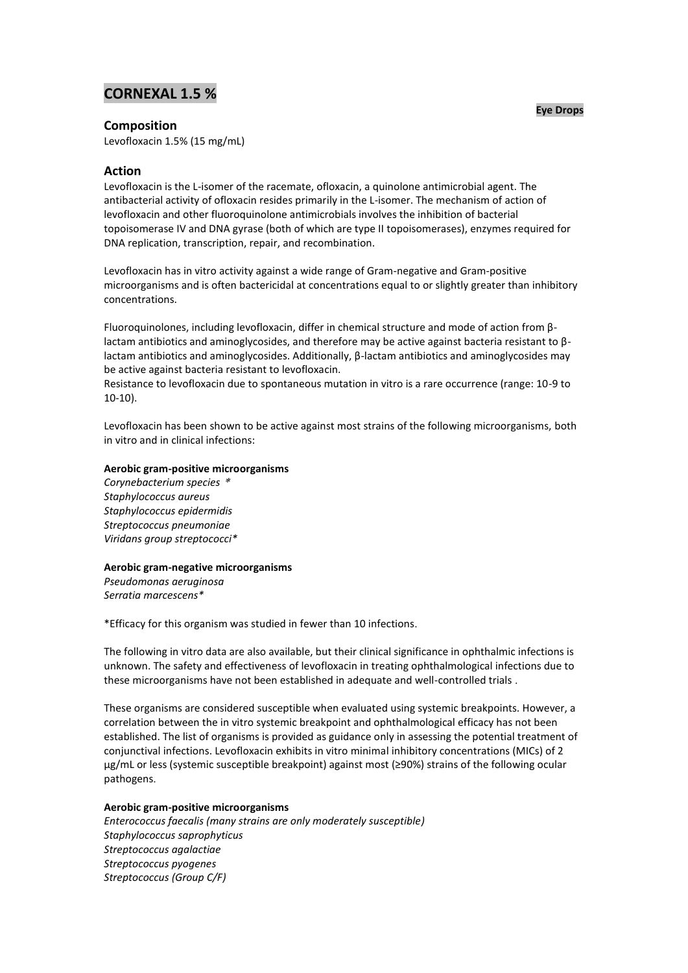# **CORNEXAL 1.5 %**

### **Eye Drops**

## **Composition**

Levofloxacin 1.5% (15 mg/mL)

## **Action**

Levofloxacin is the L-isomer of the racemate, ofloxacin, a quinolone antimicrobial agent. The antibacterial activity of ofloxacin resides primarily in the L-isomer. The mechanism of action of levofloxacin and other fluoroquinolone antimicrobials involves the inhibition of bacterial topoisomerase IV and DNA gyrase (both of which are type II topoisomerases), enzymes required for DNA replication, transcription, repair, and recombination.

Levofloxacin has in vitro activity against a wide range of Gram-negative and Gram-positive microorganisms and is often bactericidal at concentrations equal to or slightly greater than inhibitory concentrations.

Fluoroquinolones, including levofloxacin, differ in chemical structure and mode of action from βlactam antibiotics and aminoglycosides, and therefore may be active against bacteria resistant to βlactam antibiotics and aminoglycosides. Additionally, β-lactam antibiotics and aminoglycosides may be active against bacteria resistant to levofloxacin.

Resistance to levofloxacin due to spontaneous mutation in vitro is a rare occurrence (range: 10-9 to 10-10).

Levofloxacin has been shown to be active against most strains of the following microorganisms, both in vitro and in clinical infections:

## **Aerobic gram-positive microorganisms**

*Corynebacterium species* \* *Staphylococcus aureus Staphylococcus epidermidis Streptococcus pneumoniae Viridans group streptococci\**

### **Aerobic gram-negative microorganisms**

*Pseudomonas aeruginosa*

*Serratia marcescens\**

\*Efficacy for this organism was studied in fewer than 10 infections.

The following in vitro data are also available, but their clinical significance in ophthalmic infections is unknown. The safety and effectiveness of levofloxacin in treating ophthalmological infections due to these microorganisms have not been established in adequate and well-controlled trials .

These organisms are considered susceptible when evaluated using systemic breakpoints. However, a correlation between the in vitro systemic breakpoint and ophthalmological efficacy has not been established. The list of organisms is provided as guidance only in assessing the potential treatment of conjunctival infections. Levofloxacin exhibits in vitro minimal inhibitory concentrations (MICs) of 2 μg/mL or less (systemic susceptible breakpoint) against most (≥90%) strains of the following ocular pathogens.

## **Aerobic gram-positive microorganisms**

*Enterococcus faecalis (many strains are only moderately susceptible) Staphylococcus saprophyticus Streptococcus agalactiae Streptococcus pyogenes Streptococcus (Group C/F)*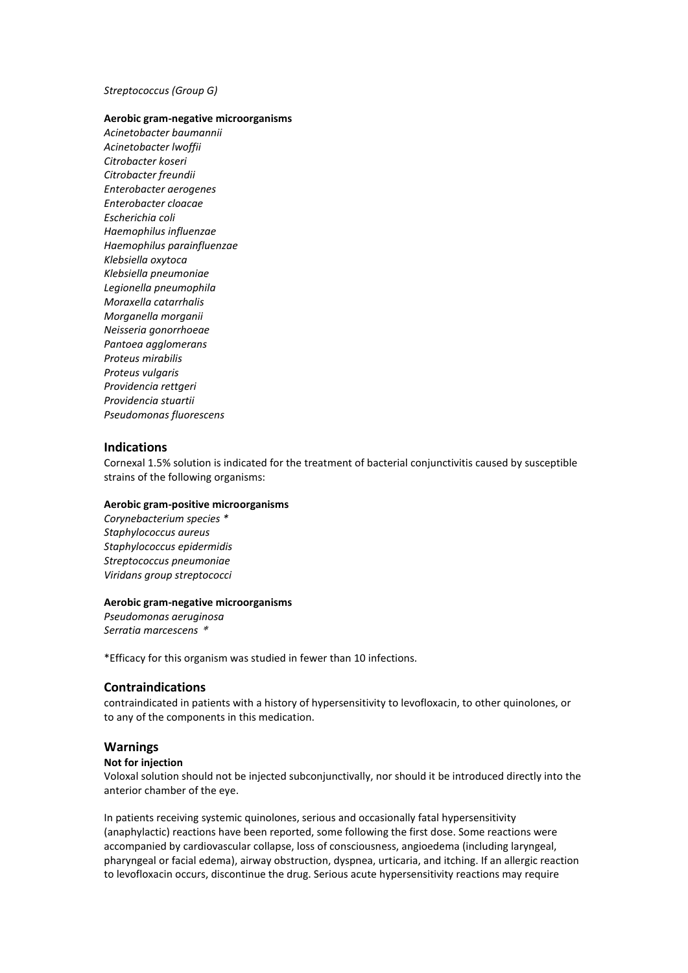### *Streptococcus (Group G)*

## **Aerobic gram-negative microorganisms**

*Acinetobacter baumannii Acinetobacter lwoffii Citrobacter koseri Citrobacter freundii Enterobacter aerogenes Enterobacter cloacae Escherichia coli Haemophilus influenzae Haemophilus parainfluenzae Klebsiella oxytoca Klebsiella pneumoniae Legionella pneumophila Moraxella catarrhalis Morganella morganii Neisseria gonorrhoeae Pantoea agglomerans Proteus mirabilis Proteus vulgaris Providencia rettgeri Providencia stuartii Pseudomonas fluorescens*

## **Indications**

Cornexal 1.5% solution is indicated for the treatment of bacterial conjunctivitis caused by susceptible strains of the following organisms:

## **Aerobic gram-positive microorganisms**

*Corynebacterium species \* Staphylococcus aureus Staphylococcus epidermidis Streptococcus pneumoniae Viridans group streptococci*

#### **Aerobic gram-negative microorganisms**

*Pseudomonas aeruginosa Serratia marcescens* \*

\*Efficacy for this organism was studied in fewer than 10 infections.

## **Contraindications**

contraindicated in patients with a history of hypersensitivity to levofloxacin, to other quinolones, or to any of the components in this medication.

## **Warnings**

#### **Not for injection**

Voloxal solution should not be injected subconjunctivally, nor should it be introduced directly into the anterior chamber of the eye.

In patients receiving systemic quinolones, serious and occasionally fatal hypersensitivity (anaphylactic) reactions have been reported, some following the first dose. Some reactions were accompanied by cardiovascular collapse, loss of consciousness, angioedema (including laryngeal, pharyngeal or facial edema), airway obstruction, dyspnea, urticaria, and itching. If an allergic reaction to levofloxacin occurs, discontinue the drug. Serious acute hypersensitivity reactions may require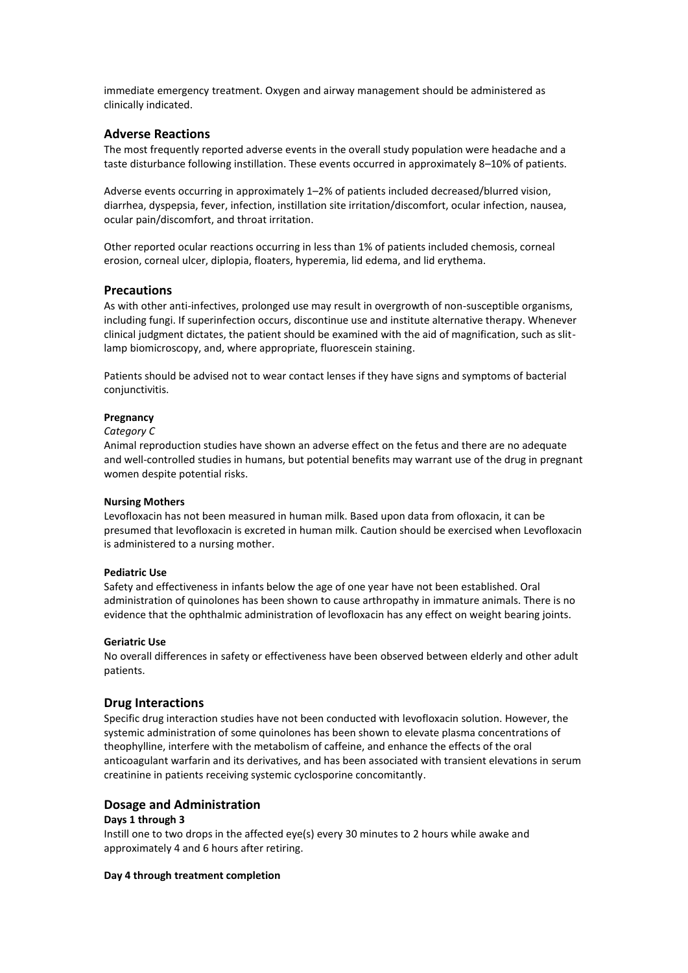immediate emergency treatment. Oxygen and airway management should be administered as clinically indicated.

## **Adverse Reactions**

The most frequently reported adverse events in the overall study population were headache and a taste disturbance following instillation. These events occurred in approximately 8–10% of patients.

Adverse events occurring in approximately 1–2% of patients included decreased/blurred vision, diarrhea, dyspepsia, fever, infection, instillation site irritation/discomfort, ocular infection, nausea, ocular pain/discomfort, and throat irritation.

Other reported ocular reactions occurring in less than 1% of patients included chemosis, corneal erosion, corneal ulcer, diplopia, floaters, hyperemia, lid edema, and lid erythema.

## **Precautions**

As with other anti-infectives, prolonged use may result in overgrowth of non-susceptible organisms, including fungi. If superinfection occurs, discontinue use and institute alternative therapy. Whenever clinical judgment dictates, the patient should be examined with the aid of magnification, such as slitlamp biomicroscopy, and, where appropriate, fluorescein staining.

Patients should be advised not to wear contact lenses if they have signs and symptoms of bacterial conjunctivitis.

#### **Pregnancy**

#### *Category C*

Animal reproduction studies have shown an adverse effect on the fetus and there are no adequate and well-controlled studies in humans, but potential benefits may warrant use of the drug in pregnant women despite potential risks.

### **Nursing Mothers**

Levofloxacin has not been measured in human milk. Based upon data from ofloxacin, it can be presumed that levofloxacin is excreted in human milk. Caution should be exercised when Levofloxacin is administered to a nursing mother.

#### **Pediatric Use**

Safety and effectiveness in infants below the age of one year have not been established. Oral administration of quinolones has been shown to cause arthropathy in immature animals. There is no evidence that the ophthalmic administration of levofloxacin has any effect on weight bearing joints.

#### **Geriatric Use**

No overall differences in safety or effectiveness have been observed between elderly and other adult patients.

## **Drug Interactions**

Specific drug interaction studies have not been conducted with levofloxacin solution. However, the systemic administration of some quinolones has been shown to elevate plasma concentrations of theophylline, interfere with the metabolism of caffeine, and enhance the effects of the oral anticoagulant warfarin and its derivatives, and has been associated with transient elevations in serum creatinine in patients receiving systemic cyclosporine concomitantly.

## **Dosage and Administration**

## **Days 1 through 3**

Instill one to two drops in the affected eye(s) every 30 minutes to 2 hours while awake and approximately 4 and 6 hours after retiring.

#### **Day 4 through treatment completion**